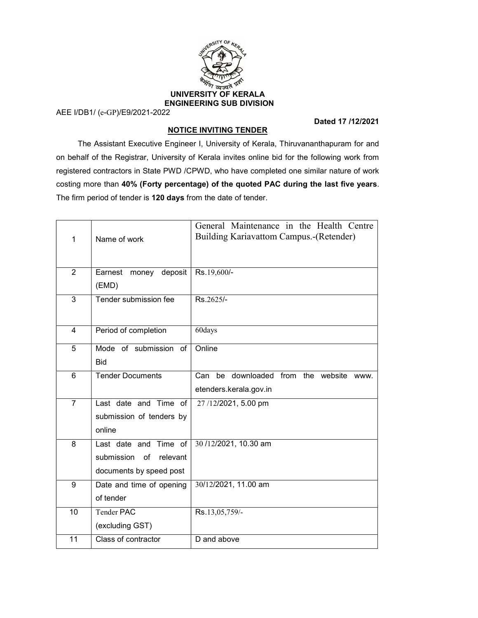

AEE I/DB1/ (e-GP)/E9/2021-2022

### Dated 17 /12/2021

# NOTICE INVITING TENDER

 The Assistant Executive Engineer I, University of Kerala, Thiruvananthapuram for and on behalf of the Registrar, University of Kerala invites online bid for the following work from registered contractors in State PWD /CPWD, who have completed one similar nature of work costing more than 40% (Forty percentage) of the quoted PAC during the last five years. The firm period of tender is 120 days from the date of tender.

| 1               | Name of work                                                                     | General Maintenance in the Health Centre<br>Building Kariavattom Campus.-(Retender) |
|-----------------|----------------------------------------------------------------------------------|-------------------------------------------------------------------------------------|
| $\overline{2}$  | deposit<br>Earnest<br>money<br>(EMD)                                             | Rs.19,600/-                                                                         |
| 3               | Tender submission fee                                                            | Rs.2625/-                                                                           |
| 4               | Period of completion                                                             | 60days                                                                              |
| 5               | Mode of submission of<br><b>Bid</b>                                              | Online                                                                              |
| 6               | <b>Tender Documents</b>                                                          | be downloaded from the website www.<br>Can<br>etenders.kerala.gov.in                |
| $\overline{7}$  | Last date and Time of<br>submission of tenders by<br>online                      | 27/12/2021, 5.00 pm                                                                 |
| 8               | Last date and Time of<br>submission<br>of<br>relevant<br>documents by speed post | 30/12/2021, 10.30 am                                                                |
| 9               | Date and time of opening<br>of tender                                            | 30/12/2021, 11.00 am                                                                |
| 10              | <b>Tender PAC</b><br>(excluding GST)                                             | Rs.13,05,759/-                                                                      |
| $\overline{11}$ | Class of contractor                                                              | D and above                                                                         |